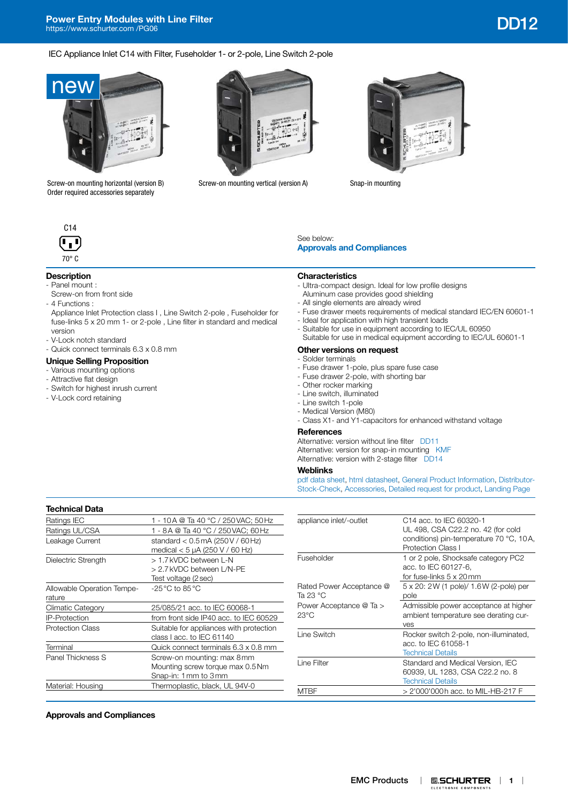IEC Appliance Inlet C14 with Filter, Fuseholder 1- or 2-pole, Line Switch 2-pole



Screw-on mounting horizontal (version B) Order required accessories separately



Screw-on mounting vertical (version A) Snap-in mounting





# **Description**

- Panel mount :
- Screw-on from front side - 4 Functions :
- 
- Appliance Inlet Protection class I , Line Switch 2-pole , Fuseholder for fuse-links 5 x 20 mm 1- or 2-pole , Line filter in standard and medical version
- V-Lock notch standard
- Quick connect terminals 6.3 x 0.8 mm

# **Unique Selling Proposition**

- Various mounting options
- Attractive flat design
- Switch for highest inrush current
- V-Lock cord retaining

# See below: **[Approvals and Compliances](#page-0-0)**

#### **Characteristics**

- Ultra-compact design. Ideal for low profile designs
- Aluminum case provides good shielding - All single elements are already wired
- Fuse drawer meets requirements of medical standard IEC/EN 60601-1
- Ideal for application with high transient loads
- Suitable for use in equipment according to IEC/UL 60950
- Suitable for use in medical equipment according to IEC/UL 60601-1
- **Other versions on request**

#### - Solder terminals

- Fuse drawer 1-pole, plus spare fuse case
- Fuse drawer 2-pole, with shorting bar
- Other rocker marking
- Line switch, illuminated
- Line switch 1-pole
- Medical Version (M80)
- Class X1- and Y1-capacitors for enhanced withstand voltage

### **References**

Alternative: version without line filter [DD11](http://www.schurter.ch/pdf/english/typ_DD11.pdf) Alternative: version for snap-in mounting [KMF](http://www.schurter.ch/pdf/english/typ_KMF.pdf) Alternative: version with 2-stage filter [DD14](http://www.schurter.ch/pdf/english/typ_DD14.pdf)

### **Weblinks**

[pdf data sheet,](https://www.schurter.com/en/datasheet/typ_DD12.pdf) [html datasheet](http://www.schurter.ch/en/datasheet/DD12), [General Product Information,](https://www.schurter.com/en/Components/Connectors/General-Product-Information) [Distributor-](https://www.schurter.com/en/Stock-Check/Stock-Check-Distributor?partnumber1=DD12)[Stock-Check](https://www.schurter.com/en/Stock-Check/Stock-Check-Distributor?partnumber1=DD12), [Accessories](https://www.schurter.ch/en/wwwsc/con_z01.asp), [Detailed request for product,](https://www.schurter.com/en/Contacts/Contact-Form?type=DD12) [Landing Page](https://www.schurter.com/en/v-lock)

| <b>Technical Data</b>                |                                                                                          |
|--------------------------------------|------------------------------------------------------------------------------------------|
| Ratings IEC                          | 1 - 10A @ Ta 40 °C / 250VAC; 50Hz                                                        |
| Ratings UL/CSA                       | 1 - 8A @ Ta 40 °C / 250VAC; 60Hz                                                         |
| Leakage Current                      | standard $< 0.5$ mA (250 V / 60 Hz)<br>medical $<$ 5 µA (250 V / 60 Hz)                  |
| Dielectric Strength                  | > 1.7 kVDC between L-N<br>> 2.7 kVDC between L/N-PE<br>Test voltage (2 sec)              |
| Allowable Operation Tempe-<br>rature | $-25\,^{\circ}\text{C}$ to 85 $^{\circ}\text{C}$                                         |
| Climatic Category                    | 25/085/21 acc. to IEC 60068-1                                                            |
| <b>IP-Protection</b>                 | from front side IP40 acc. to IEC 60529                                                   |
| <b>Protection Class</b>              | Suitable for appliances with protection<br>class Lacc. to IEC 61140                      |
| Terminal                             | Quick connect terminals 6.3 x 0.8 mm                                                     |
| Panel Thickness S                    | Screw-on mounting: max 8 mm<br>Mounting screw torque max 0.5 Nm<br>Snap-in: 1 mm to 3 mm |
| Material: Housing                    | Thermoplastic, black, UL 94V-0                                                           |
|                                      |                                                                                          |

| appliance inlet/-outlet              | C14 acc. to IEC 60320-1<br>UL 498, CSA C22.2 no. 42 (for cold<br>conditions) pin-temperature 70 °C, 10A,<br><b>Protection Class I</b> |
|--------------------------------------|---------------------------------------------------------------------------------------------------------------------------------------|
| Fuseholder                           | 1 or 2 pole, Shocksafe category PC2<br>acc. to IEC 60127-6,<br>for fuse-links 5 x 20mm                                                |
| Rated Power Acceptance @<br>Ta 23 °C | 5 x 20: 2 W (1 pole)/ 1.6 W (2-pole) per<br>pole                                                                                      |
| Power Acceptance @ Ta ><br>23°C      | Admissible power acceptance at higher<br>ambient temperature see derating cur-<br>ves                                                 |
| Line Switch                          | Rocker switch 2-pole, non-illuminated,<br>acc. to IEC 61058-1<br><b>Technical Details</b>                                             |
| Line Filter                          | Standard and Medical Version, IEC<br>60939, UL 1283, CSA C22.2 no. 8<br><b>Technical Details</b>                                      |
| MTRF                                 | > 2'000'000h acc. to MIL-HB-217 F                                                                                                     |

# <span id="page-0-0"></span>**Approvals and Compliances**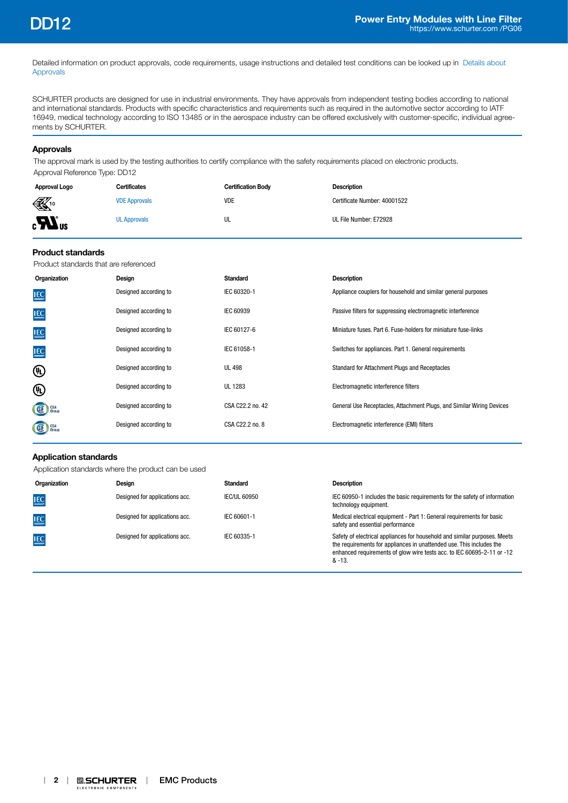Detailed information on product approvals, code requirements, usage instructions and detailed test conditions can be looked up in [Details about](https://www.schurter.com/en/Components/Connectors/General-Product-Information#1.1)  [Approvals](https://www.schurter.com/en/Components/Connectors/General-Product-Information#1.1)

SCHURTER products are designed for use in industrial environments. They have approvals from independent testing bodies according to national and international standards. Products with specific characteristics and requirements such as required in the automotive sector according to IATF 16949, medical technology according to ISO 13485 or in the aerospace industry can be offered exclusively with customer-specific, individual agreements by SCHURTER.

### **Approvals**

The approval mark is used by the testing authorities to certify compliance with the safety requirements placed on electronic products. Approval Reference Type: DD12

| Approval Logo                    | <b>Certificates</b>  | <b>Certification Body</b> | <b>Description</b>           |
|----------------------------------|----------------------|---------------------------|------------------------------|
| $\mathbb{K}$ <sup>10</sup>       | <b>VDE Approvals</b> | <b>VDE</b>                | Certificate Number: 40001522 |
| $_{\rm c}$ $\mathbf{W}_{\rm us}$ | <b>UL Approvals</b>  | UL                        | UL File Number: E72928       |

## **Product standards**

Product standards that are referenced

| Organization    | Design                | Standard         | <b>Description</b>                                                    |
|-----------------|-----------------------|------------------|-----------------------------------------------------------------------|
| <b>IEC</b>      | Designed according to | IEC 60320-1      | Appliance couplers for household and similar general purposes         |
| <b>IEC</b>      | Designed according to | IEC 60939        | Passive filters for suppressing electromagnetic interference          |
| <b>IEC</b>      | Designed according to | IEC 60127-6      | Miniature fuses, Part 6, Fuse-holders for miniature fuse-links        |
| <b>IEC</b>      | Designed according to | IEC 61058-1      | Switches for appliances. Part 1. General requirements                 |
| ⊕               | Designed according to | <b>UL 498</b>    | Standard for Attachment Plugs and Receptacles                         |
| 哑               | Designed according to | UL 1283          | Electromagnetic interference filters                                  |
| GE Group        | Designed according to | CSA C22.2 no. 42 | General Use Receptacles, Attachment Plugs, and Similar Wiring Devices |
| <b>SE</b> Group | Designed according to | CSA C22.2 no. 8  | Electromagnetic interference (EMI) filters                            |

# **Application standards**

Application standards where the product can be used

| Organization | Design                         | Standard            | <b>Description</b>                                                                                                                                                                                                                    |
|--------------|--------------------------------|---------------------|---------------------------------------------------------------------------------------------------------------------------------------------------------------------------------------------------------------------------------------|
| <b>IEC</b>   | Designed for applications acc. | <b>IEC/UL 60950</b> | IEC 60950-1 includes the basic requirements for the safety of information<br>technology equipment.                                                                                                                                    |
| <b>IEC</b>   | Designed for applications acc. | IEC 60601-1         | Medical electrical equipment - Part 1: General requirements for basic<br>safety and essential performance                                                                                                                             |
| <b>IEC</b>   | Designed for applications acc. | IEC 60335-1         | Safety of electrical appliances for household and similar purposes. Meets<br>the requirements for appliances in unattended use. This includes the<br>enhanced requirements of glow wire tests acc. to IEC 60695-2-11 or -12<br>& -13. |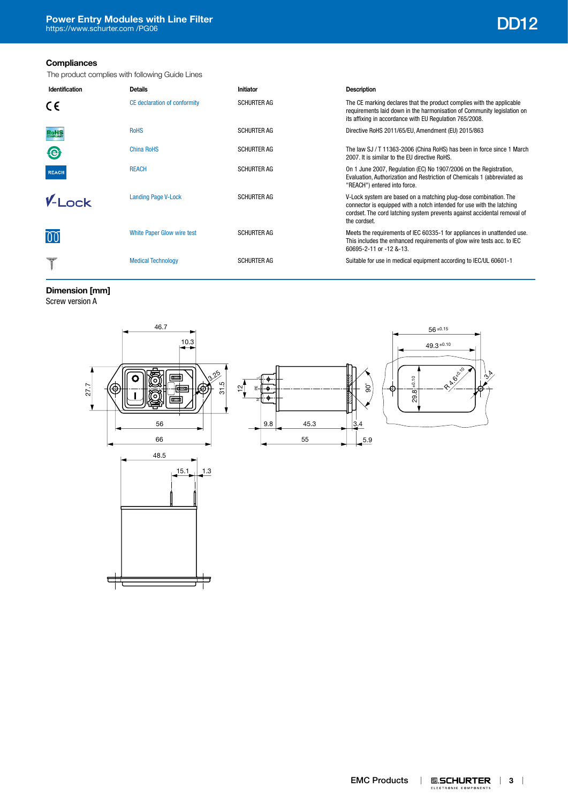# **Compliances**

The product complies with following Guide Lines

| Identification | <b>Details</b>               | <b>Initiator</b>   | Description                                                                                                                                                                                                                           |
|----------------|------------------------------|--------------------|---------------------------------------------------------------------------------------------------------------------------------------------------------------------------------------------------------------------------------------|
| CE             | CE declaration of conformity | <b>SCHURTER AG</b> | The CE marking declares that the product complies with the applicable<br>requirements laid down in the harmonisation of Community legislation on<br>its affixing in accordance with EU Regulation 765/2008.                           |
|                | <b>RoHS</b>                  | <b>SCHURTER AG</b> | Directive RoHS 2011/65/EU, Amendment (EU) 2015/863                                                                                                                                                                                    |
| $\Theta$       | China RoHS                   | <b>SCHURTER AG</b> | The law SJ / T 11363-2006 (China RoHS) has been in force since 1 March<br>2007. It is similar to the EU directive RoHS.                                                                                                               |
| <b>REACH</b>   | <b>REACH</b>                 | <b>SCHURTER AG</b> | On 1 June 2007, Regulation (EC) No 1907/2006 on the Registration,<br>Evaluation, Authorization and Restriction of Chemicals 1 (abbreviated as<br>"REACH") entered into force.                                                         |
| $V_{-1}$ ock   | <b>Landing Page V-Lock</b>   | <b>SCHURTER AG</b> | V-Lock system are based on a matching plug-dose combination. The<br>connector is equipped with a notch intended for use with the latching<br>cordset. The cord latching system prevents against accidental removal of<br>the cordset. |
| 00             | White Paper Glow wire test   | <b>SCHURTER AG</b> | Meets the requirements of IEC 60335-1 for appliances in unattended use.<br>This includes the enhanced requirements of glow wire tests acc. to IEC<br>60695-2-11 or -12 &-13.                                                          |
|                | <b>Medical Technology</b>    | <b>SCHURTER AG</b> | Suitable for use in medical equipment according to IEC/UL 60601-1                                                                                                                                                                     |

**Dimension [mm]**

Screw version A

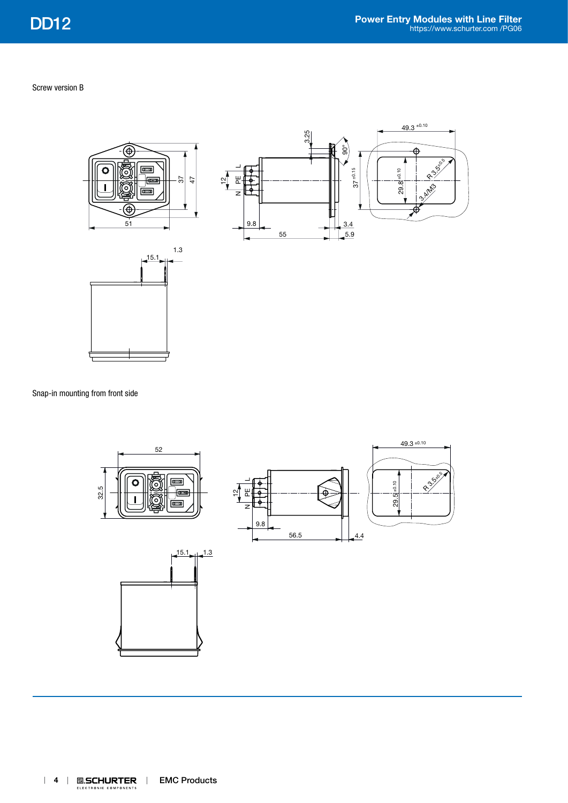Screw version B







Snap-in mounting from front side

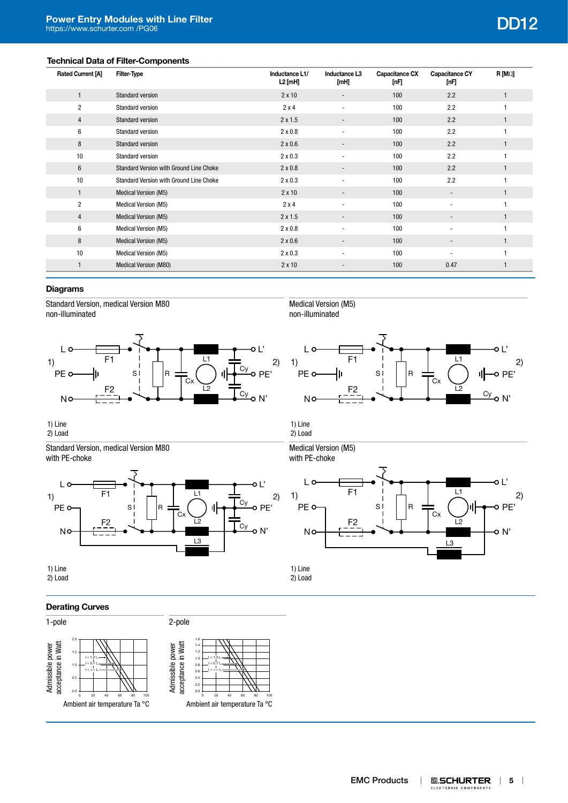# **Technical Data of Filter-Components**

| <b>Rated Current [A]</b> | Filter-Type                             | Inductance L1/<br>L2 [mH] | Inductance L3<br>[mH]    | Capacitance CX<br>[nF] | Capacitance CY<br>[nF]   | $R$ [M $\Omega$ ] |
|--------------------------|-----------------------------------------|---------------------------|--------------------------|------------------------|--------------------------|-------------------|
|                          | Standard version                        | $2 \times 10$             |                          | 100                    | 2.2                      |                   |
| $\overline{2}$           | <b>Standard version</b>                 | 2x4                       | $\overline{\phantom{a}}$ | 100                    | 2.2                      |                   |
| 4                        | Standard version                        | $2 \times 1.5$            | $\overline{\phantom{a}}$ | 100                    | 2.2                      |                   |
| 6                        | Standard version                        | $2 \times 0.8$            | $\blacksquare$           | 100                    | 2.2                      |                   |
| 8                        | Standard version                        | $2 \times 0.6$            | $\overline{\phantom{a}}$ | 100                    | 2.2                      |                   |
| 10                       | Standard version                        | $2 \times 0.3$            | $\overline{\phantom{a}}$ | 100                    | 2.2                      |                   |
| 6                        | Standard Version with Ground Line Choke | $2 \times 0.8$            | $\overline{\phantom{a}}$ | 100                    | 2.2                      |                   |
| 10                       | Standard Version with Ground Line Choke | $2 \times 0.3$            | $\overline{\phantom{a}}$ | 100                    | 2.2                      |                   |
| $\mathbf{1}$             | Medical Version (M5)                    | $2 \times 10$             | $\overline{\phantom{a}}$ | 100                    | $\overline{\phantom{a}}$ |                   |
| $\overline{c}$           | Medical Version (M5)                    | $2 \times 4$              | $\overline{\phantom{a}}$ | 100                    | $\overline{\phantom{a}}$ |                   |
| $\overline{4}$           | Medical Version (M5)                    | $2 \times 1.5$            | $\overline{\phantom{a}}$ | 100                    | $\overline{\phantom{a}}$ |                   |
| 6                        | Medical Version (M5)                    | $2 \times 0.8$            | $\overline{\phantom{a}}$ | 100                    | $\overline{\phantom{a}}$ |                   |
| 8                        | Medical Version (M5)                    | $2 \times 0.6$            | $\overline{\phantom{a}}$ | 100                    | $\overline{\phantom{a}}$ |                   |
| 10                       | Medical Version (M5)                    | $2 \times 0.3$            | $\overline{\phantom{a}}$ | 100                    | ٠                        |                   |
|                          | Medical Version (M80)                   | $2 \times 10$             | $\overline{\phantom{a}}$ | 100                    | 0.47                     |                   |

# **Diagrams**

Standard Version, medical Version M80 non-illuminated







 $s$  | |R 1) F1  $\begin{array}{|c|c|c|c|c|c|c|c|} \hline \end{array}$  F1  $\begin{array}{|c|c|c|c|c|c|} \hline \end{array}$   $\begin{array}{|c|c|c|c|c|} \hline \end{array}$   $\begin{array}{|c|c|c|c|c|} \hline \end{array}$   $\begin{array}{|c|c|c|c|c|} \hline \end{array}$ 

1) Line 2) Load

Standard Version, medical Version M80 with PE-choke





F2

L<sub>o</sub>

PE<sub>o</sub>

**NC** 

1) Line 2) Load

1) Line 2) Load

2) Load

# **Derating Curves**



Cx

L1

o L'

o PE'

o N'

L2

L3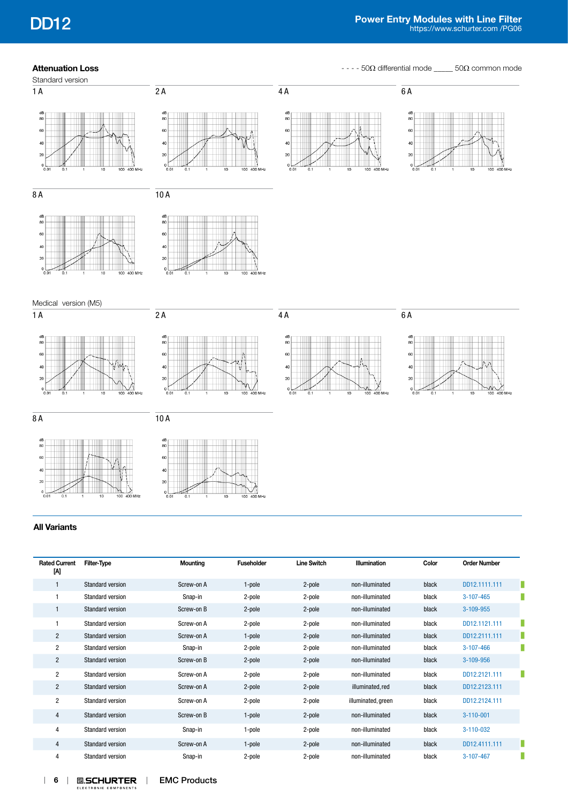**Attenuation Loss Attenuation Loss - - - 50Ω** differential mode \_\_\_\_ 50Ω common mode



# **All Variants**

| <b>Rated Current</b><br>M | <b>Filter-Type</b>      | <b>Mounting</b> | <b>Fuseholder</b> | <b>Line Switch</b> | <b>Illumination</b> | Color | <b>Order Number</b> |  |
|---------------------------|-------------------------|-----------------|-------------------|--------------------|---------------------|-------|---------------------|--|
|                           | <b>Standard version</b> | Screw-on A      | 1-pole            | 2-pole             | non-illuminated     | black | DD12.1111.111       |  |
|                           | Standard version        | Snap-in         | 2-pole            | 2-pole             | non-illuminated     | black | 3-107-465           |  |
|                           | <b>Standard version</b> | Screw-on B      | 2-pole            | 2-pole             | non-illuminated     | black | 3-109-955           |  |
|                           | Standard version        | Screw-on A      | 2-pole            | 2-pole             | non-illuminated     | black | DD12.1121.111       |  |
| $\overline{2}$            | <b>Standard version</b> | Screw-on A      | 1-pole            | 2-pole             | non-illuminated     | black | DD12.2111.111       |  |
| $\overline{2}$            | Standard version        | Snap-in         | 2-pole            | 2-pole             | non-illuminated     | black | 3-107-466           |  |
| $\overline{2}$            | Standard version        | Screw-on B      | 2-pole            | 2-pole             | non-illuminated     | black | 3-109-956           |  |
| $\overline{2}$            | Standard version        | Screw-on A      | 2-pole            | 2-pole             | non-illuminated     | black | DD12.2121.111       |  |
| $\overline{2}$            | Standard version        | Screw-on A      | 2-pole            | 2-pole             | illuminated, red    | black | DD12.2123.111       |  |
| $\overline{2}$            | <b>Standard version</b> | Screw-on A      | 2-pole            | 2-pole             | illuminated, green  | black | DD12.2124.111       |  |
| $\overline{4}$            | Standard version        | Screw-on B      | 1-pole            | 2-pole             | non-illuminated     | black | $3 - 110 - 001$     |  |
| 4                         | <b>Standard version</b> | Snap-in         | 1-pole            | 2-pole             | non-illuminated     | black | 3-110-032           |  |
| 4                         | Standard version        | Screw-on A      | 1-pole            | 2-pole             | non-illuminated     | black | DD12.4111.111       |  |
| 4                         | <b>Standard version</b> | Snap-in         | 2-pole            | 2-pole             | non-illuminated     | black | 3-107-467           |  |
|                           |                         |                 |                   |                    |                     |       |                     |  |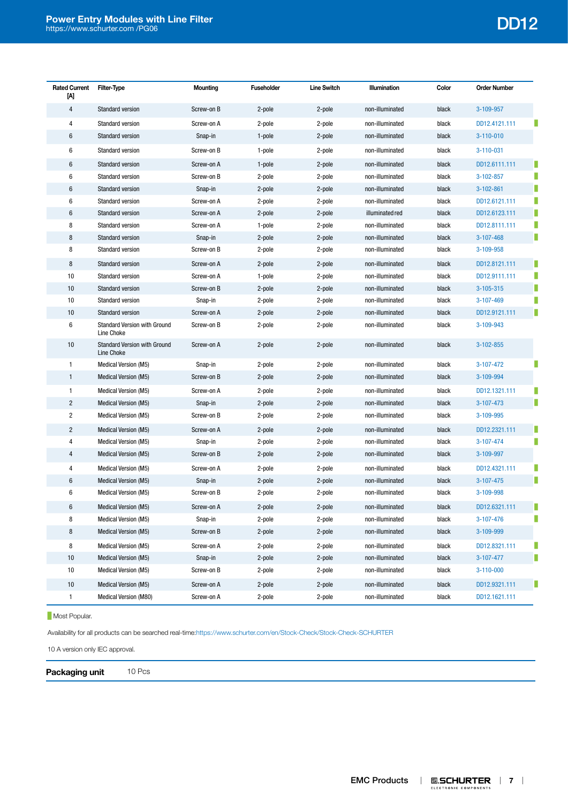# **Power Entry Modules with Line Filter** [https://www.schurter.com /PG06](https://www.schurter.com/en/PG06) DD12

| <b>Rated Current</b><br>ΙW | Filter-Type                                       | Mounting   | <b>Fuseholder</b> | <b>Line Switch</b> | Illumination    | Color | <b>Order Number</b>  |
|----------------------------|---------------------------------------------------|------------|-------------------|--------------------|-----------------|-------|----------------------|
| 4                          | <b>Standard version</b>                           | Screw-on B | 2-pole            | 2-pole             | non-illuminated | black | 3-109-957            |
| 4                          | Standard version                                  | Screw-on A | 2-pole            | 2-pole             | non-illuminated | black | DD12.4121.111        |
| 6                          | <b>Standard version</b>                           | Snap-in    | 1-pole            | 2-pole             | non-illuminated | black | $3 - 110 - 010$      |
| 6                          | <b>Standard version</b>                           | Screw-on B | 1-pole            | 2-pole             | non-illuminated | black | $3 - 110 - 031$      |
| 6                          | <b>Standard version</b>                           | Screw-on A | 1-pole            | 2-pole             | non-illuminated | black | DD12.6111.111        |
| 6                          | Standard version                                  | Screw-on B | 2-pole            | 2-pole             | non-illuminated | black | 3-102-857            |
| 6                          | <b>Standard version</b>                           | Snap-in    | 2-pole            | 2-pole             | non-illuminated | black | п<br>$3 - 102 - 861$ |
| 6                          | Standard version                                  | Screw-on A | 2-pole            | 2-pole             | non-illuminated | black | п<br>DD12.6121.111   |
| 6                          | <b>Standard version</b>                           | Screw-on A | 2-pole            | 2-pole             | illuminated red | black | п<br>DD12.6123.111   |
| 8                          | <b>Standard version</b>                           | Screw-on A | 1-pole            | 2-pole             | non-illuminated | black | DD12.8111.111        |
| 8                          | <b>Standard version</b>                           | Snap-in    | 2-pole            | 2-pole             | non-illuminated | black | П<br>3-107-468       |
| 8                          | <b>Standard version</b>                           | Screw-on B | 2-pole            | 2-pole             | non-illuminated | black | 3-109-958            |
| 8                          | <b>Standard version</b>                           | Screw-on A | 2-pole            | 2-pole             | non-illuminated | black | DD12.8121.111        |
| 10                         | <b>Standard version</b>                           | Screw-on A | 1-pole            | 2-pole             | non-illuminated | black | DD12.9111.111<br>п   |
| 10                         | <b>Standard version</b>                           | Screw-on B | 2-pole            | 2-pole             | non-illuminated | black | 3-105-315            |
| 10                         | <b>Standard version</b>                           | Snap-in    | 2-pole            | 2-pole             | non-illuminated | black | 3-107-469            |
| 10                         | <b>Standard version</b>                           | Screw-on A | 2-pole            | 2-pole             | non-illuminated | black | п<br>DD12.9121.111   |
| 6                          | <b>Standard Version with Ground</b><br>Line Choke | Screw-on B | 2-pole            | 2-pole             | non-illuminated | black | 3-109-943            |
| 10                         | <b>Standard Version with Ground</b><br>Line Choke | Screw-on A | 2-pole            | 2-pole             | non-illuminated | black | 3-102-855            |
| 1                          | <b>Medical Version (M5)</b>                       | Snap-in    | 2-pole            | 2-pole             | non-illuminated | black | 3-107-472            |
| $\mathbf{1}$               | Medical Version (M5)                              | Screw-on B | 2-pole            | 2-pole             | non-illuminated | black | 3-109-994            |
| 1                          | <b>Medical Version (M5)</b>                       | Screw-on A | 2-pole            | 2-pole             | non-illuminated | black | DD12.1321.111        |
| $\overline{c}$             | Medical Version (M5)                              | Snap-in    | 2-pole            | 2-pole             | non-illuminated | black | п<br>3-107-473       |
| $\overline{c}$             | Medical Version (M5)                              | Screw-on B | 2-pole            | 2-pole             | non-illuminated | black | 3-109-995            |
| $\overline{c}$             | <b>Medical Version (M5)</b>                       | Screw-on A | 2-pole            | 2-pole             | non-illuminated | black | DD12.2321.111        |
| 4                          | Medical Version (M5)                              | Snap-in    | 2-pole            | 2-pole             | non-illuminated | black | п<br>3-107-474       |
| 4                          | Medical Version (M5)                              | Screw-on B | 2-pole            | 2-pole             | non-illuminated | black | 3-109-997            |
| 4                          | Medical Version (M5)                              | Screw-on A | 2-pole            | 2-pole             | non-illuminated | black | DD12.4321.111        |
| 6                          | Medical Version (M5)                              | Snap-in    | 2-pole            | 2-pole             | non-illuminated | black | п<br>3-107-475       |
| 6                          | Medical Version (M5)                              | Screw-on B | 2-pole            | 2-pole             | non-illuminated | black | 3-109-998            |
| 6                          | Medical Version (M5)                              | Screw-on A | 2-pole            | 2-pole             | non-illuminated | black | DD12.6321.111        |
| 8                          | Medical Version (M5)                              | Snap-in    | 2-pole            | 2-pole             | non-illuminated | black | 3-107-476            |
| 8                          | Medical Version (M5)                              | Screw-on B | 2-pole            | 2-pole             | non-illuminated | black | 3-109-999            |
| 8                          | Medical Version (M5)                              | Screw-on A | 2-pole            | 2-pole             | non-illuminated | black | DD12.8321.111<br>п   |
| 10                         | Medical Version (M5)                              | Snap-in    | 2-pole            | 2-pole             | non-illuminated | black | Ш<br>3-107-477       |
| 10                         | <b>Medical Version (M5)</b>                       | Screw-on B | 2-pole            | 2-pole             | non-illuminated | black | $3 - 110 - 000$      |
| 10                         | Medical Version (M5)                              | Screw-on A | 2-pole            | 2-pole             | non-illuminated | black | Ш<br>DD12.9321.111   |
| 1                          | Medical Version (M80)                             | Screw-on A | 2-pole            | 2-pole             | non-illuminated | black | DD12.1621.111        |

# **Most Popular.**

Availability for all products can be searched real-time:<https://www.schurter.com/en/Stock-Check/Stock-Check-SCHURTER>

10 A version only IEC approval.

**Packaging unit** 10 Pcs